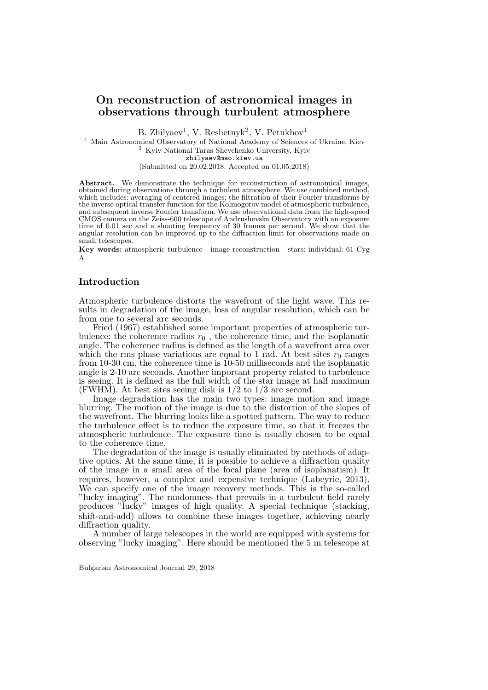# On reconstruction of astronomical images in observations through turbulent atmosphere

B. Zhilyaev<sup>1</sup>, V. Reshetnyk<sup>2</sup>, V. Petukhov<sup>1</sup>

<sup>1</sup> Main Astronomical Observatory of National Academy of Sciences of Ukraine, Kiev <sup>2</sup> Kyiv National Taras Shevchenko University, Kyiv zhilyaev@mao.kiev.ua

(Submitted on 20.02.2018. Accepted on 01.05.2018)

Abstract. We demonstrate the technique for reconstruction of astronomical images, obtained during observations through a turbulent atmosphere. We use combined method, which includes: averaging of centered images; the filtration of their Fourier transforms by the inverse optical transfer function for the Kolmogorov model of atmospheric turbulence, and subsequent inverse Fourier transform. We use observational data from the high-speed CMOS camera on the Zeiss-600 telescope of Andrushevska Observatory with an exposure time of 0.01 sec and a shooting frequency of 30 frames per second. We show that the angular resolution can be improved up to the diffraction limit for observations made on small telescopes.

Key words: atmospheric turbulence - image reconstruction - stars: individual: 61 Cyg A

# Introduction

Atmospheric turbulence distorts the wavefront of the light wave. This results in degradation of the image, loss of angular resolution, which can be from one to several arc seconds.

Fried (1967) established some important properties of atmospheric turbulence: the coherence radius  $r_0$ , the coherence time, and the isoplanatic angle. The coherence radius is defined as the length of a wavefront area over which the rms phase variations are equal to 1 rad. At best sites  $r_0$  ranges from 10-30 cm, the coherence time is 10-50 milliseconds and the isoplanatic angle is 2-10 arc seconds. Another important property related to turbulence is seeing. It is defined as the full width of the star image at half maximum (FWHM). At best sites seeing disk is 1/2 to 1/3 arc second.

Image degradation has the main two types: image motion and image blurring. The motion of the image is due to the distortion of the slopes of the wavefront. The blurring looks like a spotted pattern. The way to reduce the turbulence effect is to reduce the exposure time, so that it freezes the atmospheric turbulence. The exposure time is usually chosen to be equal to the coherence time.

The degradation of the image is usually eliminated by methods of adaptive optics. At the same time, it is possible to achieve a diffraction quality of the image in a small area of the focal plane (area of isoplanatism). It requires, however, a complex and expensive technique (Labeyrie, 2013). We can specify one of the image recovery methods. This is the so-called "lucky imaging". The randomness that prevails in a turbulent field rarely produces "lucky" images of high quality. A special technique (stacking, shift-and-add) allows to combine these images together, achieving nearly diffraction quality.

A number of large telescopes in the world are equipped with systems for observing "lucky imaging". Here should be mentioned the 5 m telescope at

Bulgarian Astronomical Journal 29, 2018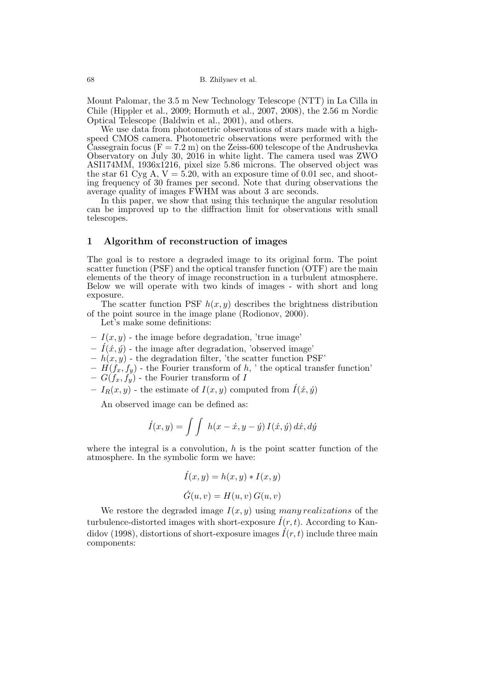68 B. Zhilyaev et al.

Mount Palomar, the 3.5 m New Technology Telescope (NTT) in La Cilla in Chile (Hippler et al., 2009; Hormuth et al., 2007, 2008), the 2.56 m Nordic Optical Telescope (Baldwin et al., 2001), and others.

We use data from photometric observations of stars made with a highspeed CMOS camera. Photometric observations were performed with the Cassegrain focus ( $F = 7.2$  m) on the Zeiss-600 telescope of the Andrushevka Observatory on July 30, 2016 in white light. The camera used was ZWO ASI174MM, 1936x1216, pixel size 5.86 microns. The observed object was the star 61 Cyg A,  $V = 5.20$ , with an exposure time of 0.01 sec, and shooting frequency of 30 frames per second. Note that during observations the average quality of images FWHM was about 3 arc seconds.

In this paper, we show that using this technique the angular resolution can be improved up to the diffraction limit for observations with small telescopes.

### 1 Algorithm of reconstruction of images

The goal is to restore a degraded image to its original form. The point scatter function (PSF) and the optical transfer function (OTF) are the main elements of the theory of image reconstruction in a turbulent atmosphere. Below we will operate with two kinds of images - with short and long exposure.

The scatter function PSF  $h(x, y)$  describes the brightness distribution of the point source in the image plane (Rodionov, 2000).

Let's make some definitions:

- $-I(x, y)$  the image before degradation, 'true image'
- $\hat{I}(\acute{x}, \acute{y})$  the image after degradation, 'observed image'
- $h(x, y)$  the degradation filter, 'the scatter function PSF'
- $-\hat{H}(f_x, f_y)$  the Fourier transform of h, ' the optical transfer function'
- $G(f_x, f_y)$  the Fourier transform of I
- $-I_R(x, y)$  the estimate of  $I(x, y)$  computed from  $\hat{I}(x, y)$

An observed image can be defined as:

$$
\hat{I}(x,y) = \int \int h(x - \acute{x}, y - \acute{y}) I(\acute{x}, \acute{y}) d\acute{x}, d\acute{y}
$$

where the integral is a convolution,  $h$  is the point scatter function of the atmosphere. In the symbolic form we have:

$$
\begin{aligned} \acute{I}(x,y) &= h(x,y) * I(x,y) \\ \acute{G}(u,v) &= H(u,v) \, G(u,v) \end{aligned}
$$

We restore the degraded image  $I(x, y)$  using many realizations of the turbulence-distorted images with short-exposure  $\hat{I}(r, t)$ . According to Kandidov (1998), distortions of short-exposure images  $\hat{I}(r, t)$  include three main components: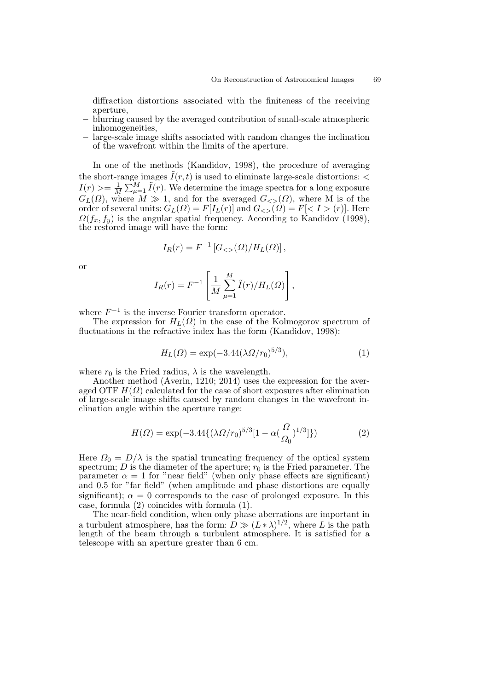- diffraction distortions associated with the finiteness of the receiving aperture,
- blurring caused by the averaged contribution of small-scale atmospheric inhomogeneities,
- large-scale image shifts associated with random changes the inclination of the wavefront within the limits of the aperture.

In one of the methods (Kandidov, 1998), the procedure of averaging the short-range images  $\tilde{I}(r, t)$  is used to eliminate large-scale distortions:  $\lt$  $I(r) >= \frac{1}{M}$  $\frac{1}{M} \sum_{\mu=1}^{M} \tilde{I}(r)$ . We determine the image spectra for a long exposure  $G_L(\Omega)$ , where  $M \gg 1$ , and for the averaged  $G_{\leq S}(\Omega)$ , where M is of the order of several units:  $G_L(\Omega) = F[I_L(r)]$  and  $G_{ll}(Q) = F[< I > (r)]$ . Here  $\Omega(f_x, f_y)$  is the angular spatial frequency. According to Kandidov (1998), the restored image will have the form:

$$
I_R(r) = F^{-1} [G_{<}(\Omega)/H_L(\Omega)],
$$

or

$$
I_R(r) = F^{-1} \left[ \frac{1}{M} \sum_{\mu=1}^M \tilde{I}(r) / H_L(\Omega) \right],
$$

where  $F^{-1}$  is the inverse Fourier transform operator.

The expression for  $H<sub>L</sub>(\Omega)$  in the case of the Kolmogorov spectrum of fluctuations in the refractive index has the form (Kandidov, 1998):

$$
H_L(\Omega) = \exp(-3.44(\lambda \Omega/r_0)^{5/3}),\tag{1}
$$

where  $r_0$  is the Fried radius,  $\lambda$  is the wavelength.

Another method (Averin, 1210; 2014) uses the expression for the averaged OTF  $H(\Omega)$  calculated for the case of short exposures after elimination of large-scale image shifts caused by random changes in the wavefront inclination angle within the aperture range:

$$
H(\Omega) = \exp(-3.44\{(\lambda \Omega/r_0)^{5/3}[1 - \alpha(\frac{\Omega}{\Omega_0})^{1/3}]\})
$$
 (2)

Here  $\Omega_0 = D/\lambda$  is the spatial truncating frequency of the optical system spectrum; D is the diameter of the aperture;  $r_0$  is the Fried parameter. The parameter  $\alpha = 1$  for "near field" (when only phase effects are significant) and 0.5 for "far field" (when amplitude and phase distortions are equally significant);  $\alpha = 0$  corresponds to the case of prolonged exposure. In this case, formula (2) coincides with formula (1).

The near-field condition, when only phase aberrations are important in a turbulent atmosphere, has the form:  $D \gg (L * \lambda)^{1/2}$ , where L is the path length of the beam through a turbulent atmosphere. It is satisfied for a telescope with an aperture greater than 6 cm.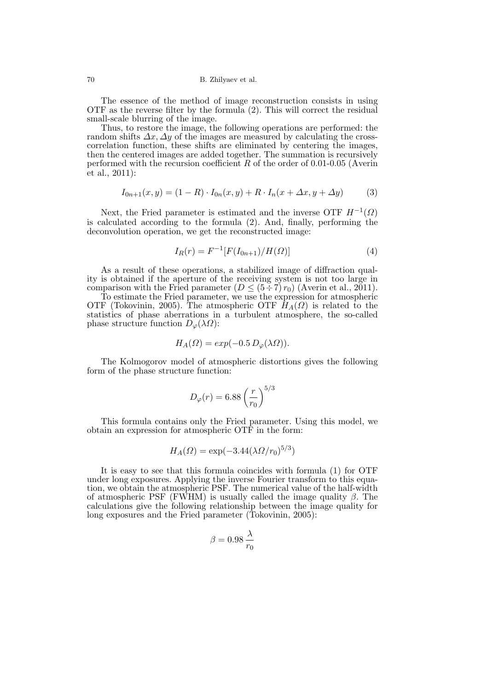The essence of the method of image reconstruction consists in using OTF as the reverse filter by the formula (2). This will correct the residual small-scale blurring of the image.

Thus, to restore the image, the following operations are performed: the random shifts  $\Delta x$ ,  $\Delta y$  of the images are measured by calculating the crosscorrelation function, these shifts are eliminated by centering the images, then the centered images are added together. The summation is recursively performed with the recursion coefficient  $R$  of the order of 0.01-0.05 (Averin et al., 2011):

$$
I_{0n+1}(x,y) = (1 - R) \cdot I_{0n}(x,y) + R \cdot I_n(x + \Delta x, y + \Delta y)
$$
 (3)

Next, the Fried parameter is estimated and the inverse OTF  $H^{-1}(\Omega)$ is calculated according to the formula (2). And, finally, performing the deconvolution operation, we get the reconstructed image:

$$
I_R(r) = F^{-1}[F(I_{0n+1})/H(\Omega)]
$$
\n(4)

As a result of these operations, a stabilized image of diffraction quality is obtained if the aperture of the receiving system is not too large in comparison with the Fried parameter  $(D \leq (5 \div 7) r_0)$  (Averin et al., 2011).

To estimate the Fried parameter, we use the expression for atmospheric OTF (Tokovinin, 2005). The atmospheric OTF  $H_A(\Omega)$  is related to the statistics of phase aberrations in a turbulent atmosphere, the so-called phase structure function  $D_{\varphi}(\lambda \Omega)$ :

$$
H_A(\Omega) = exp(-0.5 D_{\varphi}(\lambda \Omega)).
$$

The Kolmogorov model of atmospheric distortions gives the following form of the phase structure function:

$$
D_{\varphi}(r) = 6.88 \left(\frac{r}{r_0}\right)^{5/3}
$$

This formula contains only the Fried parameter. Using this model, we obtain an expression for atmospheric OTF in the form:

$$
H_A(\Omega) = \exp(-3.44(\lambda \Omega/r_0)^{5/3})
$$

It is easy to see that this formula coincides with formula (1) for OTF under long exposures. Applying the inverse Fourier transform to this equation, we obtain the atmospheric PSF. The numerical value of the half-width of atmospheric PSF (FWHM) is usually called the image quality  $\beta$ . The calculations give the following relationship between the image quality for long exposures and the Fried parameter (Tokovinin, 2005):

$$
\beta=0.98\,\frac{\lambda}{r_0}
$$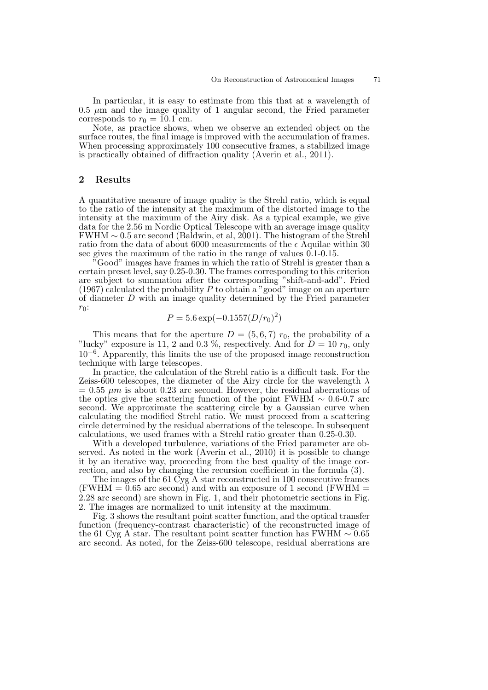In particular, it is easy to estimate from this that at a wavelength of  $0.5 \mu$ m and the image quality of 1 angular second, the Fried parameter corresponds to  $r_0 = 10.1$  cm.

Note, as practice shows, when we observe an extended object on the surface routes, the final image is improved with the accumulation of frames. When processing approximately 100 consecutive frames, a stabilized image is practically obtained of diffraction quality (Averin et al., 2011).

## 2 Results

A quantitative measure of image quality is the Strehl ratio, which is equal to the ratio of the intensity at the maximum of the distorted image to the intensity at the maximum of the Airy disk. As a typical example, we give data for the 2.56 m Nordic Optical Telescope with an average image quality FWHM ∼ 0.5 arc second (Baldwin, et al, 2001). The histogram of the Strehl ratio from the data of about 6000 measurements of the  $\epsilon$  Aquilae within 30 sec gives the maximum of the ratio in the range of values 0.1-0.15.

<sup>"</sup>Good" images have frames in which the ratio of Strehl is greater than a certain preset level, say 0.25-0.30. The frames corresponding to this criterion are subject to summation after the corresponding "shift-and-add". Fried  $(1967)$  calculated the probability  $P$  to obtain a "good" image on an aperture of diameter  $D$  with an image quality determined by the Fried parameter  $r_0$ :

$$
P = 5.6 \exp(-0.1557(D/r_0)^2)
$$

This means that for the aperture  $D = (5,6,7)$   $r_0$ , the probability of a "lucky" exposure is 11, 2 and 0.3 %, respectively. And for  $D = 10 r_0$ , only 10−<sup>6</sup> . Apparently, this limits the use of the proposed image reconstruction technique with large telescopes.

In practice, the calculation of the Strehl ratio is a difficult task. For the Zeiss-600 telescopes, the diameter of the Airy circle for the wavelength  $\lambda$  $= 0.55 \mu m$  is about 0.23 arc second. However, the residual aberrations of the optics give the scattering function of the point FWHM  $\sim 0.6$ -0.7 arc second. We approximate the scattering circle by a Gaussian curve when calculating the modified Strehl ratio. We must proceed from a scattering circle determined by the residual aberrations of the telescope. In subsequent calculations, we used frames with a Strehl ratio greater than 0.25-0.30.

With a developed turbulence, variations of the Fried parameter are observed. As noted in the work (Averin et al., 2010) it is possible to change it by an iterative way, proceeding from the best quality of the image correction, and also by changing the recursion coefficient in the formula (3).

The images of the 61 Cyg A star reconstructed in 100 consecutive frames  $(FWHM = 0.65$  arc second) and with an exposure of 1 second  $(FWHM = 0.65$ 2.28 arc second) are shown in Fig. 1, and their photometric sections in Fig. 2. The images are normalized to unit intensity at the maximum.

Fig. 3 shows the resultant point scatter function, and the optical transfer function (frequency-contrast characteristic) of the reconstructed image of the 61 Cyg A star. The resultant point scatter function has FWHM  $\sim 0.65$ arc second. As noted, for the Zeiss-600 telescope, residual aberrations are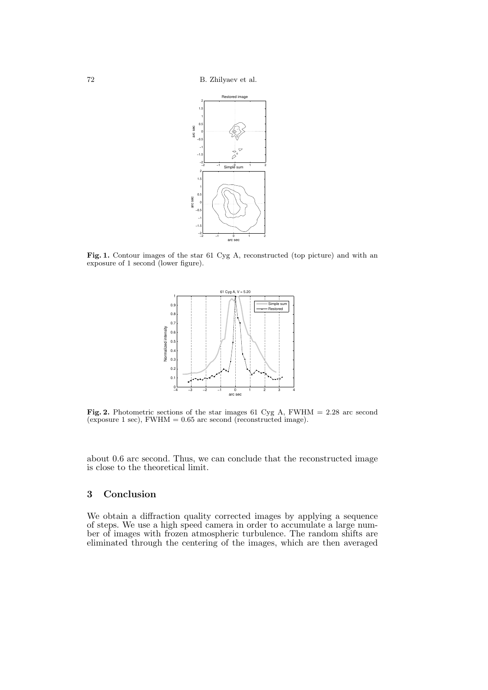72 B. Zhilyaev et al.



Fig. 1. Contour images of the star 61 Cyg A, reconstructed (top picture) and with an exposure of 1 second (lower figure).



**Fig. 2.** Photometric sections of the star images 61 Cyg A,  $FWHM = 2.28$  arc second (exposure 1 sec),  $FWHM = 0.65$  arc second (reconstructed image).

about 0.6 arc second. Thus, we can conclude that the reconstructed image is close to the theoretical limit.

# 3 Conclusion

We obtain a diffraction quality corrected images by applying a sequence of steps. We use a high speed camera in order to accumulate a large number of images with frozen atmospheric turbulence. The random shifts are eliminated through the centering of the images, which are then averaged